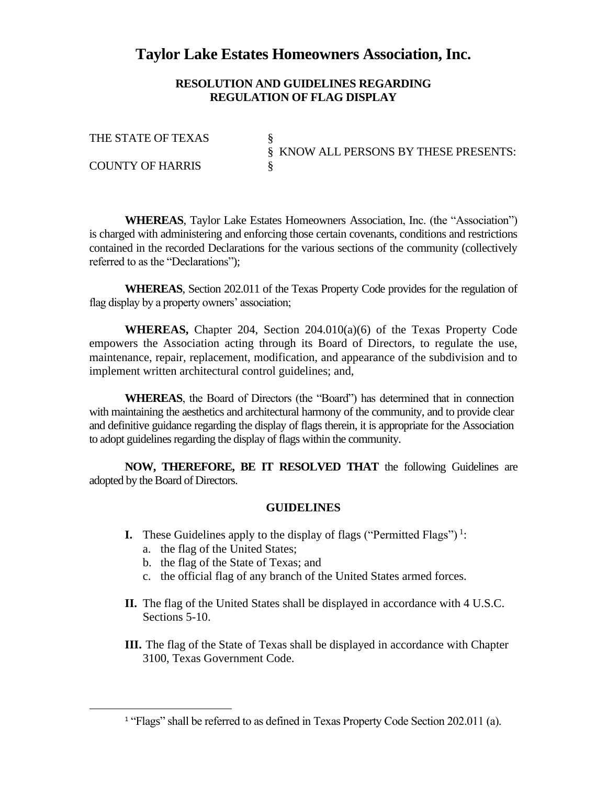## **Taylor Lake Estates Homeowners Association, Inc.**

## **RESOLUTION AND GUIDELINES REGARDING REGULATION OF FLAG DISPLAY**

THE STATE OF TEXAS § KNOW ALL PERSONS BY THESE PRESENTS: COUNTY OF HARRIS

**WHEREAS**, Taylor Lake Estates Homeowners Association, Inc. (the "Association") is charged with administering and enforcing those certain covenants, conditions and restrictions contained in the recorded Declarations for the various sections of the community (collectively referred to as the "Declarations");

**WHEREAS**, Section 202.011 of the Texas Property Code provides for the regulation of flag display by a property owners' association;

**WHEREAS,** Chapter 204, Section 204.010(a)(6) of the Texas Property Code empowers the Association acting through its Board of Directors, to regulate the use, maintenance, repair, replacement, modification, and appearance of the subdivision and to implement written architectural control guidelines; and,

**WHEREAS**, the Board of Directors (the "Board") has determined that in connection with maintaining the aesthetics and architectural harmony of the community, and to provide clear and definitive guidance regarding the display of flags therein, it is appropriate for the Association to adopt guidelines regarding the display of flags within the community.

**NOW, THEREFORE, BE IT RESOLVED THAT** the following Guidelines are adopted by the Board of Directors.

## **GUIDELINES**

- **I.** These Guidelines apply to the display of flags ("Permitted Flags")<sup>1</sup>:
	- a. the flag of the United States;
	- b. the flag of the State of Texas; and
	- c. the official flag of any branch of the United States armed forces.
- **II.** The flag of the United States shall be displayed in accordance with 4 U.S.C. Sections 5-10.
- **III.** The flag of the State of Texas shall be displayed in accordance with Chapter 3100, Texas Government Code.

<sup>&</sup>lt;sup>1</sup> "Flags" shall be referred to as defined in Texas Property Code Section 202.011 (a).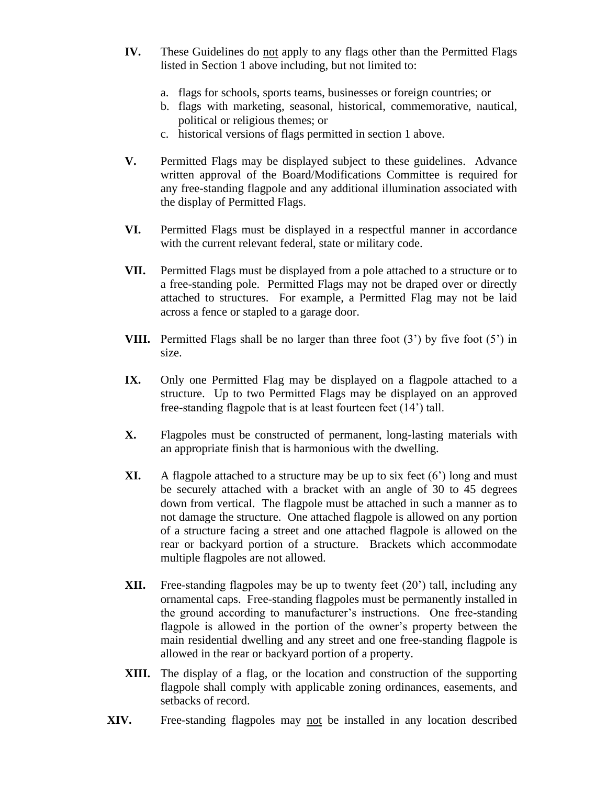- **IV.** These Guidelines do not apply to any flags other than the Permitted Flags listed in Section 1 above including, but not limited to:
	- a. flags for schools, sports teams, businesses or foreign countries; or
	- b. flags with marketing, seasonal, historical, commemorative, nautical, political or religious themes; or
	- c. historical versions of flags permitted in section 1 above.
- **V.** Permitted Flags may be displayed subject to these guidelines. Advance written approval of the Board/Modifications Committee is required for any free-standing flagpole and any additional illumination associated with the display of Permitted Flags.
- **VI.** Permitted Flags must be displayed in a respectful manner in accordance with the current relevant federal, state or military code.
- **VII.** Permitted Flags must be displayed from a pole attached to a structure or to a free-standing pole. Permitted Flags may not be draped over or directly attached to structures. For example, a Permitted Flag may not be laid across a fence or stapled to a garage door.
- **VIII.** Permitted Flags shall be no larger than three foot (3') by five foot (5') in size.
- **IX.** Only one Permitted Flag may be displayed on a flagpole attached to a structure. Up to two Permitted Flags may be displayed on an approved free-standing flagpole that is at least fourteen feet (14') tall.
- **X.** Flagpoles must be constructed of permanent, long-lasting materials with an appropriate finish that is harmonious with the dwelling.
- **XI.** A flagpole attached to a structure may be up to six feet (6') long and must be securely attached with a bracket with an angle of 30 to 45 degrees down from vertical. The flagpole must be attached in such a manner as to not damage the structure. One attached flagpole is allowed on any portion of a structure facing a street and one attached flagpole is allowed on the rear or backyard portion of a structure. Brackets which accommodate multiple flagpoles are not allowed.
- **XII.** Free-standing flagpoles may be up to twenty feet (20') tall, including any ornamental caps. Free-standing flagpoles must be permanently installed in the ground according to manufacturer's instructions. One free-standing flagpole is allowed in the portion of the owner's property between the main residential dwelling and any street and one free-standing flagpole is allowed in the rear or backyard portion of a property.
- **XIII.** The display of a flag, or the location and construction of the supporting flagpole shall comply with applicable zoning ordinances, easements, and setbacks of record.
- **XIV.** Free-standing flagpoles may not be installed in any location described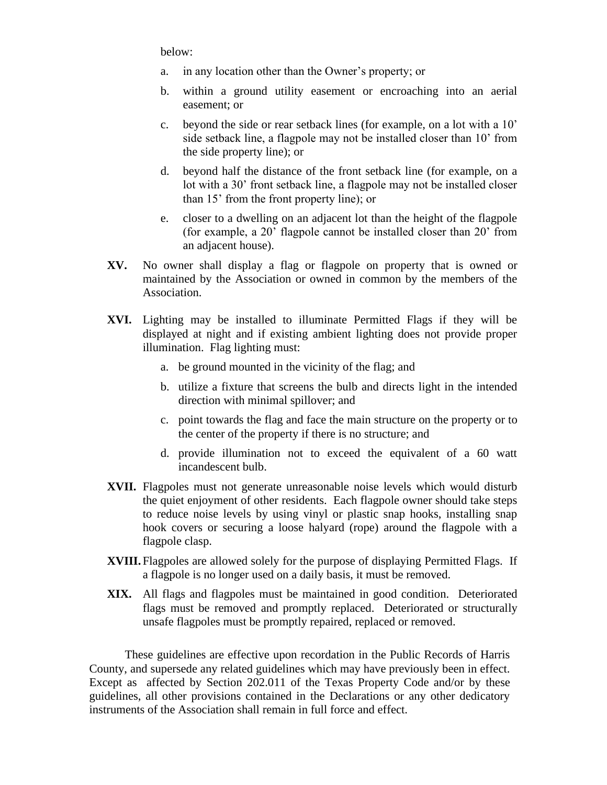below:

- a. in any location other than the Owner's property; or
- b. within a ground utility easement or encroaching into an aerial easement; or
- c. beyond the side or rear setback lines (for example, on a lot with a 10' side setback line, a flagpole may not be installed closer than 10' from the side property line); or
- d. beyond half the distance of the front setback line (for example, on a lot with a 30' front setback line, a flagpole may not be installed closer than 15' from the front property line); or
- e. closer to a dwelling on an adjacent lot than the height of the flagpole (for example, a 20' flagpole cannot be installed closer than 20' from an adjacent house).
- **XV.** No owner shall display a flag or flagpole on property that is owned or maintained by the Association or owned in common by the members of the Association.
- **XVI.** Lighting may be installed to illuminate Permitted Flags if they will be displayed at night and if existing ambient lighting does not provide proper illumination. Flag lighting must:
	- a. be ground mounted in the vicinity of the flag; and
	- b. utilize a fixture that screens the bulb and directs light in the intended direction with minimal spillover; and
	- c. point towards the flag and face the main structure on the property or to the center of the property if there is no structure; and
	- d. provide illumination not to exceed the equivalent of a 60 watt incandescent bulb.
- **XVII.** Flagpoles must not generate unreasonable noise levels which would disturb the quiet enjoyment of other residents. Each flagpole owner should take steps to reduce noise levels by using vinyl or plastic snap hooks, installing snap hook covers or securing a loose halyard (rope) around the flagpole with a flagpole clasp.
- **XVIII.** Flagpoles are allowed solely for the purpose of displaying Permitted Flags. If a flagpole is no longer used on a daily basis, it must be removed.
- **XIX.** All flags and flagpoles must be maintained in good condition. Deteriorated flags must be removed and promptly replaced. Deteriorated or structurally unsafe flagpoles must be promptly repaired, replaced or removed.

These guidelines are effective upon recordation in the Public Records of Harris County, and supersede any related guidelines which may have previously been in effect. Except as affected by Section 202.011 of the Texas Property Code and/or by these guidelines, all other provisions contained in the Declarations or any other dedicatory instruments of the Association shall remain in full force and effect.